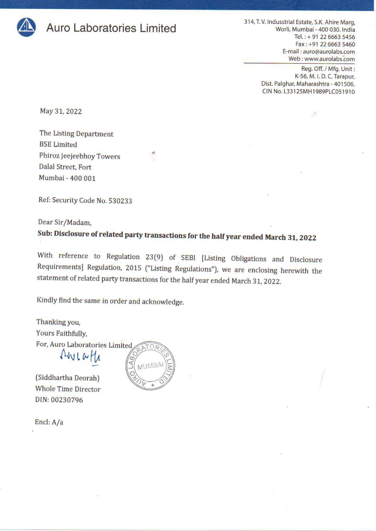

**Auro Laboratories Limited** 314, T. V. Indusstrial Estate, S.K. Ahire Marg,<br>Worli, Mumbai - 400 030. India Tel.:+ 91 22 6663 5456 Fax: +91 22 6663 5460 E-mail : auro@aurolabs.com Web : www.aurolabs.com 314, T. V. Indusstrial E<br>Worli, Mu<br>Te<br>E-mail<br>Web

Reg. Off. / Mfg. Unit : K-56, M. |. D.C. Tarapur, Dist. Palghar, Maharashtra - 401506. CIN No. L33125MH1989PLC051910

 $\mathcal{R}$ 

May 31, 2022

The Listing Department BSE Limited Phiroz Jeejeebhoy Towers Dalal Street, Fort Mumbai - 400 001

Ref: Security Code No. 530233

Dear Sir/Madam,

## Sub: Disclosure of related party transactions for the half year ended March 31, 2022

With reference to Regulation 23(9) of SEBI [Listing Obligations and Disclosure Requirements] Regulation, 2015 ("Listing Regulations"), we are enclosing herewith the statement of related party transactions for the half year Sub: Disclosure of related party transmit<br>
With reference to Regulation, 2015 ("Li<br>
Requirements] Regulation, 2015 ("Li<br>
statement of related party transaction<br>
Kindly find the same in order and ackr<br>
Thanking you,<br>
Yours

Kindly find the same in order and acknowledge.

Thanking you, Yours Faithfully, For, Auro Laboratories Limited<br> $\bigwedge \{y \mid y \in H_A$ 

(Siddhartha Deorah) Whole Time Director DIN: 00230796



Encl: A/a